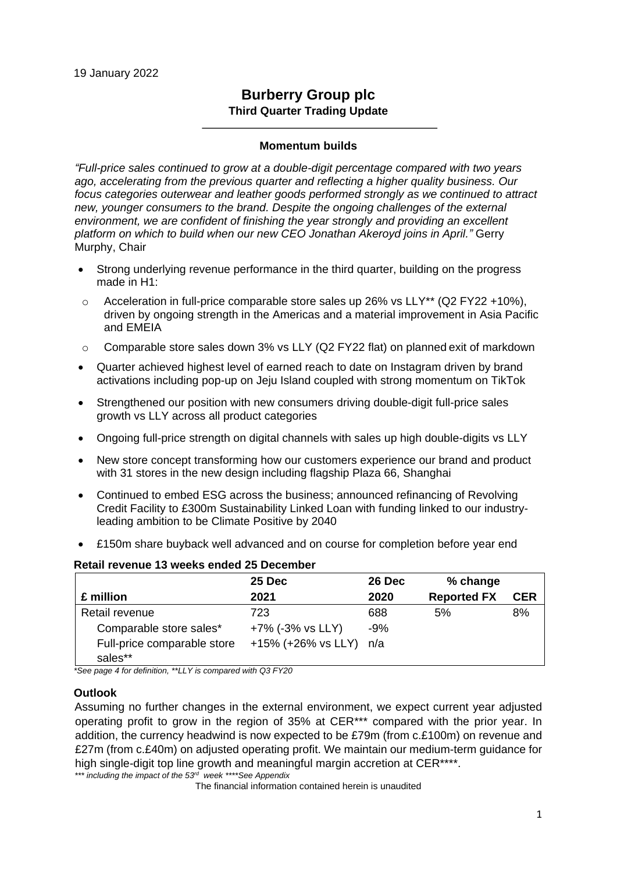# **Burberry Group plc Third Quarter Trading Update**

#### **Momentum builds**

*"Full-price sales continued to grow at a double-digit percentage compared with two years ago, accelerating from the previous quarter and reflecting a higher quality business. Our focus categories outerwear and leather goods performed strongly as we continued to attract new, younger consumers to the brand. Despite the ongoing challenges of the external environment, we are confident of finishing the year strongly and providing an excellent platform on which to build when our new CEO Jonathan Akeroyd joins in April."* Gerry Murphy, Chair

- Strong underlying revenue performance in the third quarter, building on the progress made in H1:
- o Acceleration in full-price comparable store sales up 26% vs LLY\*\* (Q2 FY22 +10%), driven by ongoing strength in the Americas and a material improvement in Asia Pacific and EMEIA
- $\circ$  Comparable store sales down 3% vs LLY (Q2 FY22 flat) on planned exit of markdown
- Quarter achieved highest level of earned reach to date on Instagram driven by brand activations including pop-up on Jeju Island coupled with strong momentum on TikTok
- Strengthened our position with new consumers driving double-digit full-price sales growth vs LLY across all product categories
- Ongoing full-price strength on digital channels with sales up high double-digits vs LLY
- New store concept transforming how our customers experience our brand and product with 31 stores in the new design including flagship Plaza 66, Shanghai
- Continued to embed ESG across the business; announced refinancing of Revolving Credit Facility to £300m Sustainability Linked Loan with funding linked to our industryleading ambition to be Climate Positive by 2040
- £150m share buyback well advanced and on course for completion before year end

|                             | 25 Dec             | 26 Dec | % change           |            |
|-----------------------------|--------------------|--------|--------------------|------------|
| £ million                   | 2021               | 2020   | <b>Reported FX</b> | <b>CER</b> |
| Retail revenue              | 723                | 688    | 5%                 | 8%         |
| Comparable store sales*     | +7% (-3% vs LLY)   | $-9%$  |                    |            |
| Full-price comparable store | +15% (+26% vs LLY) | n/a    |                    |            |
| sales**                     |                    |        |                    |            |

### **Retail revenue 13 weeks ended 25 December**

*\*See page 4 for definition, \*\*LLY is compared with Q3 FY20*

#### **Outlook**

Assuming no further changes in the external environment, we expect current year adjusted operating profit to grow in the region of 35% at CER\*\*\* compared with the prior year. In addition, the currency headwind is now expected to be £79m (from c.£100m) on revenue and £27m (from c.£40m) on adjusted operating profit. We maintain our medium-term guidance for high single-digit top line growth and meaningful margin accretion at CER<sup>\*\*\*\*</sup>. *\*\*\* including the impact of the 53rd week \*\*\*\*See Appendix*

The financial information contained herein is unaudited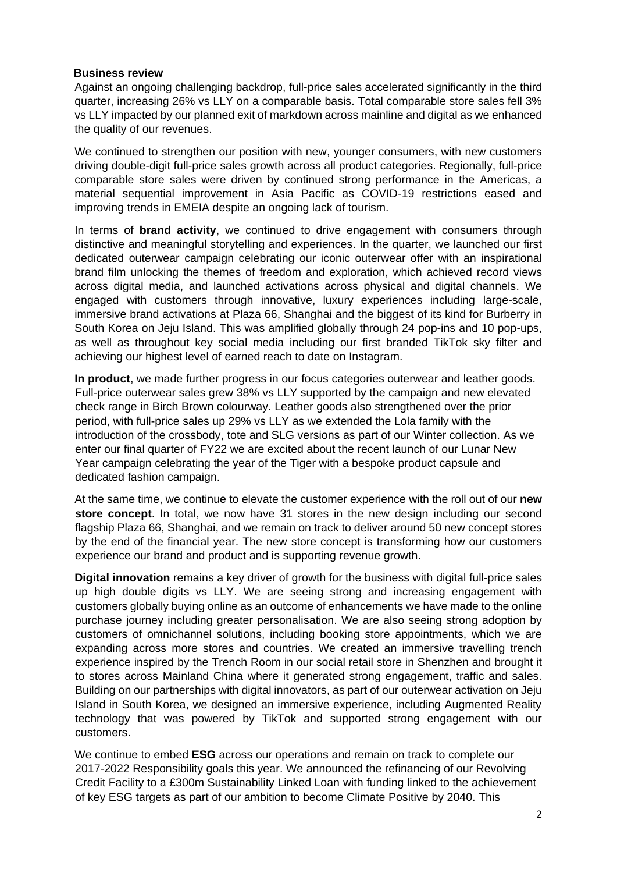#### **Business review**

Against an ongoing challenging backdrop, full-price sales accelerated significantly in the third quarter, increasing 26% vs LLY on a comparable basis. Total comparable store sales fell 3% vs LLY impacted by our planned exit of markdown across mainline and digital as we enhanced the quality of our revenues.

We continued to strengthen our position with new, younger consumers, with new customers driving double-digit full-price sales growth across all product categories. Regionally, full-price comparable store sales were driven by continued strong performance in the Americas, a material sequential improvement in Asia Pacific as COVID-19 restrictions eased and improving trends in EMEIA despite an ongoing lack of tourism.

In terms of **brand activity**, we continued to drive engagement with consumers through distinctive and meaningful storytelling and experiences. In the quarter, we launched our first dedicated outerwear campaign celebrating our iconic outerwear offer with an inspirational brand film unlocking the themes of freedom and exploration, which achieved record views across digital media, and launched activations across physical and digital channels. We engaged with customers through innovative, luxury experiences including large-scale, immersive brand activations at Plaza 66. Shanghai and the biggest of its kind for Burberry in South Korea on Jeju Island. This was amplified globally through 24 pop-ins and 10 pop-ups, as well as throughout key social media including our first branded TikTok sky filter and achieving our highest level of earned reach to date on Instagram.

**In product**, we made further progress in our focus categories outerwear and leather goods. Full-price outerwear sales grew 38% vs LLY supported by the campaign and new elevated check range in Birch Brown colourway. Leather goods also strengthened over the prior period, with full-price sales up 29% vs LLY as we extended the Lola family with the introduction of the crossbody, tote and SLG versions as part of our Winter collection. As we enter our final quarter of FY22 we are excited about the recent launch of our Lunar New Year campaign celebrating the year of the Tiger with a bespoke product capsule and dedicated fashion campaign.

At the same time, we continue to elevate the customer experience with the roll out of our **new store concept**. In total, we now have 31 stores in the new design including our second flagship Plaza 66, Shanghai, and we remain on track to deliver around 50 new concept stores by the end of the financial year. The new store concept is transforming how our customers experience our brand and product and is supporting revenue growth.

**Digital innovation** remains a key driver of growth for the business with digital full-price sales up high double digits vs LLY. We are seeing strong and increasing engagement with customers globally buying online as an outcome of enhancements we have made to the online purchase journey including greater personalisation. We are also seeing strong adoption by customers of omnichannel solutions, including booking store appointments, which we are expanding across more stores and countries. We created an immersive travelling trench experience inspired by the Trench Room in our social retail store in Shenzhen and brought it to stores across Mainland China where it generated strong engagement, traffic and sales. Building on our partnerships with digital innovators, as part of our outerwear activation on Jeju Island in South Korea, we designed an immersive experience, including Augmented Reality technology that was powered by TikTok and supported strong engagement with our customers.

We continue to embed **ESG** across our operations and remain on track to complete our 2017-2022 Responsibility goals this year. We announced the refinancing of our Revolving Credit Facility to a £300m Sustainability Linked Loan with funding linked to the achievement of key ESG targets as part of our ambition to become Climate Positive by 2040. This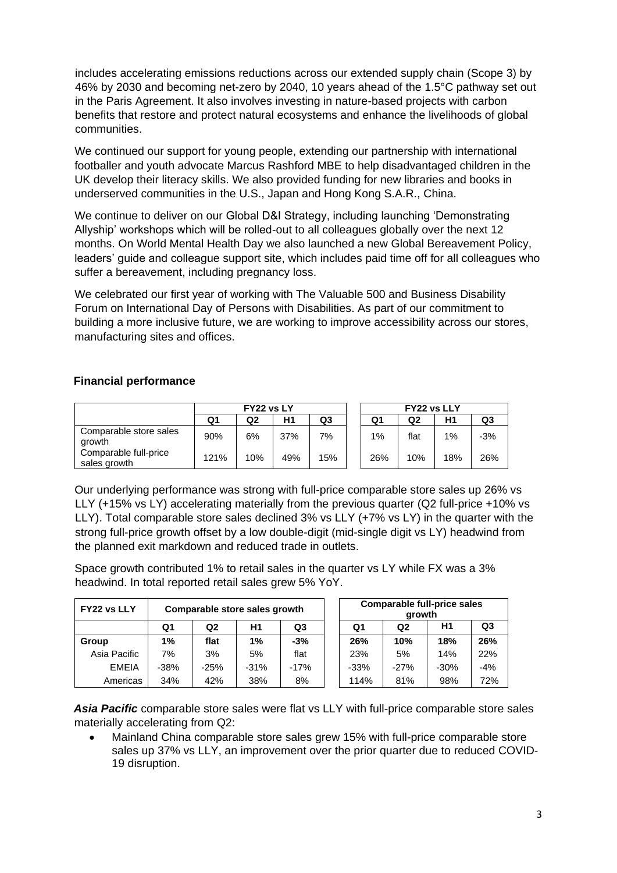includes accelerating emissions reductions across our extended supply chain (Scope 3) by 46% by 2030 and becoming net-zero by 2040, 10 years ahead of the 1.5°C pathway set out in the Paris Agreement. It also involves investing in nature-based projects with carbon benefits that restore and protect natural ecosystems and enhance the livelihoods of global communities.

We continued our support for young people, extending our partnership with international footballer and youth advocate Marcus Rashford MBE to help disadvantaged children in the UK develop their literacy skills. We also provided funding for new libraries and books in underserved communities in the U.S., Japan and Hong Kong S.A.R., China.

We continue to deliver on our Global D&I Strategy, including launching 'Demonstrating Allyship' workshops which will be rolled-out to all colleagues globally over the next 12 months. On World Mental Health Day we also launched a new Global Bereavement Policy, leaders' guide and colleague support site, which includes paid time off for all colleagues who suffer a bereavement, including pregnancy loss.

We celebrated our first year of working with The Valuable 500 and Business Disability Forum on International Day of Persons with Disabilities. As part of our commitment to building a more inclusive future, we are working to improve accessibility across our stores, manufacturing sites and offices.

### **Financial performance**

|                                       | FY22 vs LY |     |     |     | <b>FY22 vs LLY</b> |      |     |     |  |
|---------------------------------------|------------|-----|-----|-----|--------------------|------|-----|-----|--|
|                                       | Q1         | Q2  | H1  | Q3  | Q1                 | Q2   | Η1  | Q3  |  |
| Comparable store sales<br>arowth      | 90%        | 6%  | 37% | 7%  | 1%                 | flat | 1%  | -3% |  |
| Comparable full-price<br>sales growth | 121%       | 10% | 49% | 15% | 26%                | 10%  | 18% | 26% |  |

Our underlying performance was strong with full-price comparable store sales up 26% vs LLY (+15% vs LY) accelerating materially from the previous quarter (Q2 full-price +10% vs LLY). Total comparable store sales declined 3% vs LLY (+7% vs LY) in the quarter with the strong full-price growth offset by a low double-digit (mid-single digit vs LY) headwind from the planned exit markdown and reduced trade in outlets.

Space growth contributed 1% to retail sales in the quarter vs LY while FX was a 3% headwind. In total reported retail sales grew 5% YoY.

| FY22 vs LLY  | Comparable store sales growth |      |        | Comparable full-price sales<br>arowth |        |                |        |                |
|--------------|-------------------------------|------|--------|---------------------------------------|--------|----------------|--------|----------------|
|              | Q1                            | Q2   | Η1     | Q3                                    | Q1     | Q <sub>2</sub> | Η1     | Q <sub>3</sub> |
| Group        | 1%                            | flat | 1%     | $-3%$                                 | 26%    | 10%            | 18%    | 26%            |
| Asia Pacific | 7%                            | 3%   | 5%     | flat                                  | 23%    | 5%             | 14%    | 22%            |
| <b>EMEIA</b> | $-38%$                        | -25% | $-31%$ | $-17%$                                | $-33%$ | $-27%$         | $-30%$ | $-4%$          |
| Americas     | 34%                           | 42%  | 38%    | 8%                                    | 114%   | 81%            | 98%    | 72%            |

*Asia Pacific* comparable store sales were flat vs LLY with full-price comparable store sales materially accelerating from Q2:

• Mainland China comparable store sales grew 15% with full-price comparable store sales up 37% vs LLY, an improvement over the prior quarter due to reduced COVID-19 disruption.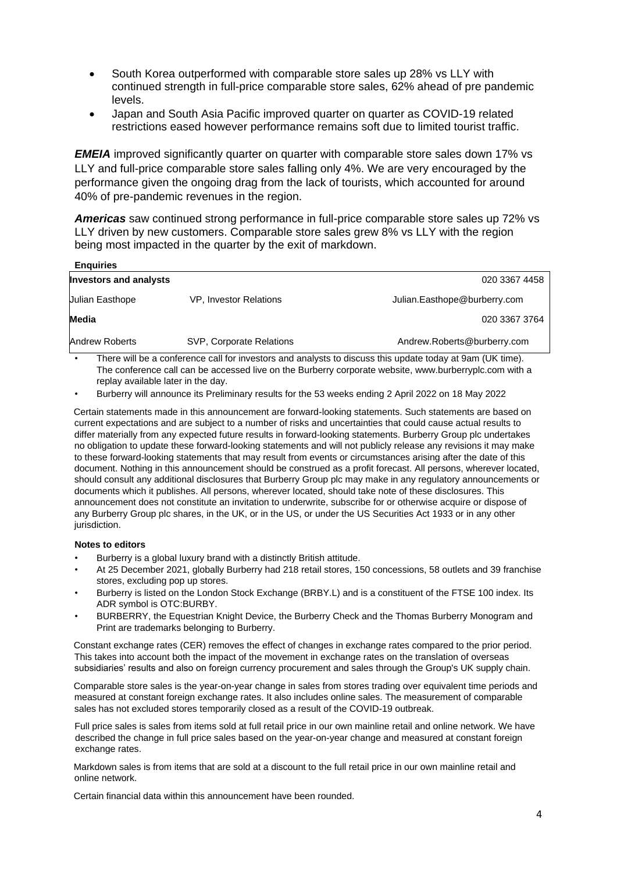- South Korea outperformed with comparable store sales up 28% vs LLY with continued strength in full-price comparable store sales, 62% ahead of pre pandemic levels.
- Japan and South Asia Pacific improved quarter on quarter as COVID-19 related restrictions eased however performance remains soft due to limited tourist traffic.

*EMEIA* improved significantly quarter on quarter with comparable store sales down 17% vs LLY and full-price comparable store sales falling only 4%. We are very encouraged by the performance given the ongoing drag from the lack of tourists, which accounted for around 40% of pre-pandemic revenues in the region.

*Americas* saw continued strong performance in full-price comparable store sales up 72% vs LLY driven by new customers. Comparable store sales grew 8% vs LLY with the region being most impacted in the quarter by the exit of markdown.

| <b>Enguiries</b>              |                          |                              |
|-------------------------------|--------------------------|------------------------------|
| <b>Investors and analysts</b> |                          | 020 3367 4458                |
| Julian Easthope               | VP, Investor Relations   | Julian.Easthope@burberry.com |
| Media                         |                          | 020 3367 3764                |
| Andrew Roberts                | SVP, Corporate Relations | Andrew.Roberts@burberry.com  |
| .<br>--                       | $\cdots$<br>.            | .<br>.<br>.<br>$\sim$ $\sim$ |

There will be a conference call for investors and analysts to discuss this update today at 9am (UK time). The conference call can be accessed live on the Burberry corporate website, www.burberryplc.com with a replay available later in the day.

• Burberry will announce its Preliminary results for the 53 weeks ending 2 April 2022 on 18 May 2022

Certain statements made in this announcement are forward-looking statements. Such statements are based on current expectations and are subject to a number of risks and uncertainties that could cause actual results to differ materially from any expected future results in forward-looking statements. Burberry Group plc undertakes no obligation to update these forward-looking statements and will not publicly release any revisions it may make to these forward-looking statements that may result from events or circumstances arising after the date of this document. Nothing in this announcement should be construed as a profit forecast. All persons, wherever located, should consult any additional disclosures that Burberry Group plc may make in any regulatory announcements or documents which it publishes. All persons, wherever located, should take note of these disclosures. This announcement does not constitute an invitation to underwrite, subscribe for or otherwise acquire or dispose of any Burberry Group plc shares, in the UK, or in the US, or under the US Securities Act 1933 or in any other jurisdiction.

#### **Notes to editors**

- Burberry is a global luxury brand with a distinctly British attitude.
- At 25 December 2021, globally Burberry had 218 retail stores, 150 concessions, 58 outlets and 39 franchise stores, excluding pop up stores.
- Burberry is listed on the London Stock Exchange (BRBY.L) and is a constituent of the FTSE 100 index. Its ADR symbol is OTC:BURBY.
- BURBERRY, the Equestrian Knight Device, the Burberry Check and the Thomas Burberry Monogram and Print are trademarks belonging to Burberry.

Constant exchange rates (CER) removes the effect of changes in exchange rates compared to the prior period. This takes into account both the impact of the movement in exchange rates on the translation of overseas subsidiaries' results and also on foreign currency procurement and sales through the Group's UK supply chain.

Comparable store sales is the year-on-year change in sales from stores trading over equivalent time periods and measured at constant foreign exchange rates. It also includes online sales. The measurement of comparable sales has not excluded stores temporarily closed as a result of the COVID-19 outbreak.

Full price sales is sales from items sold at full retail price in our own mainline retail and online network. We have described the change in full price sales based on the year-on-year change and measured at constant foreign exchange rates.

Markdown sales is from items that are sold at a discount to the full retail price in our own mainline retail and online network.

Certain financial data within this announcement have been rounded.